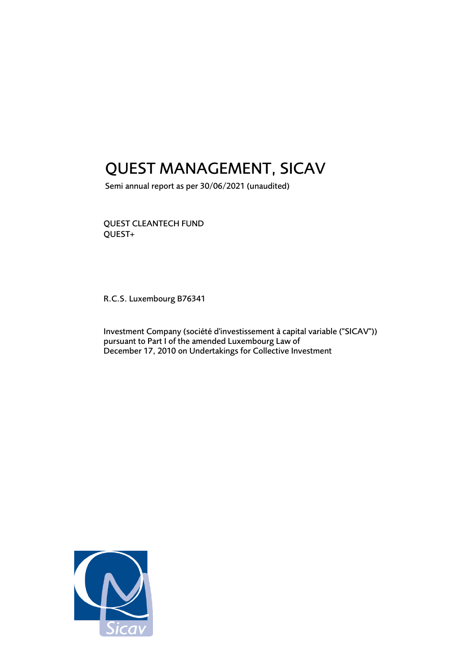# QUEST MANAGEMENT, SICAV

Semi annual report as per 30/06/2021 (unaudited)

QUEST CLEANTECH FUND QUEST+

R.C.S. Luxembourg B76341

Investment Company (société d'investissement à capital variable ("SICAV")) pursuant to Part I of the amended Luxembourg Law of December 17, 2010 on Undertakings for Collective Investment

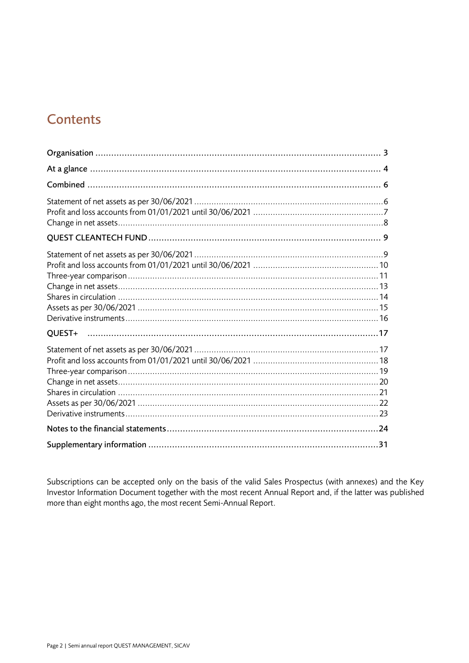# **Contents**

| QUEST+ |
|--------|
|        |
|        |
|        |

Subscriptions can be accepted only on the basis of the valid Sales Prospectus (with annexes) and the Key Investor Information Document together with the most recent Annual Report and, if the latter was published more than eight months ago, the most recent Semi-Annual Report.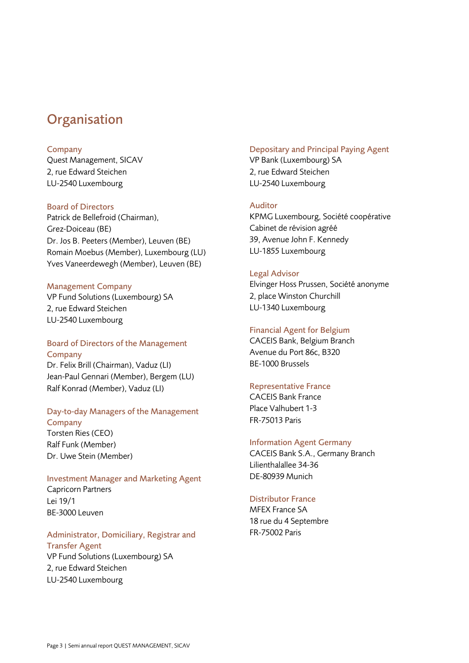## <span id="page-2-0"></span>**Organisation**

#### Company

Quest Management, SICAV 2, rue Edward Steichen LU-2540 Luxembourg

### Board of Directors

Patrick de Bellefroid (Chairman), Grez-Doiceau (BE) Dr. Jos B. Peeters (Member), Leuven (BE) Romain Moebus (Member), Luxembourg (LU) Yves Vaneerdewegh (Member), Leuven (BE)

## Management Company

VP Fund Solutions (Luxembourg) SA 2, rue Edward Steichen LU-2540 Luxembourg

## Board of Directors of the Management Company

Dr. Felix Brill (Chairman), Vaduz (LI) Jean-Paul Gennari (Member), Bergem (LU) Ralf Konrad (Member), Vaduz (LI)

### Day-to-day Managers of the Management **Company**

Torsten Ries (CEO) Ralf Funk (Member) Dr. Uwe Stein (Member)

## Investment Manager and Marketing Agent Capricorn Partners Lei 19/1 BE-3000 Leuven

## Administrator, Domiciliary, Registrar and Transfer Agent

VP Fund Solutions (Luxembourg) SA 2, rue Edward Steichen LU-2540 Luxembourg

## Depositary and Principal Paying Agent

VP Bank (Luxembourg) SA 2, rue Edward Steichen LU-2540 Luxembourg

## Auditor

KPMG Luxembourg, Société coopérative Cabinet de révision agréé 39, Avenue John F. Kennedy LU-1855 Luxembourg

## Legal Advisor

Elvinger Hoss Prussen, Société anonyme 2, place Winston Churchill LU-1340 Luxembourg

### Financial Agent for Belgium

CACEIS Bank, Belgium Branch Avenue du Port 86c, B320 BE-1000 Brussels

## Representative France

CACEIS Bank France Place Valhubert 1-3 FR-75013 Paris

## Information Agent Germany

CACEIS Bank S.A., Germany Branch Lilienthalallee 34-36 DE-80939 Munich

## Distributor France

MFEX France SA 18 rue du 4 Septembre FR-75002 Paris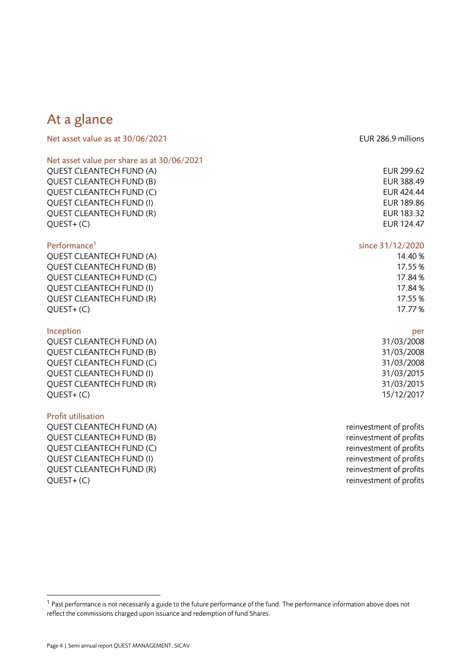# <span id="page-3-0"></span>At a glance

| Net asset value as at 30/06/2021           | EUR 286.9 millions      |
|--------------------------------------------|-------------------------|
| Net asset value per share as at 30/06/2021 |                         |
| <b>QUEST CLEANTECH FUND (A)</b>            | EUR 299.62              |
| <b>QUEST CLEANTECH FUND (B)</b>            | EUR 388.49              |
| QUEST CLEANTECH FUND (C)                   | EUR 424.44              |
| <b>QUEST CLEANTECH FUND (I)</b>            | EUR 189.86              |
| <b>QUEST CLEANTECH FUND (R)</b>            | EUR 183.32              |
| $QUEST+(C)$                                | EUR 124.47              |
| Performance <sup>1</sup>                   | since 31/12/2020        |
| QUEST CLEANTECH FUND (A)                   | 14.40%                  |
| <b>QUEST CLEANTECH FUND (B)</b>            | 17.55%                  |
| <b>QUEST CLEANTECH FUND (C)</b>            | 17.84%                  |
| <b>QUEST CLEANTECH FUND (I)</b>            | 17.84%                  |
| <b>QUEST CLEANTECH FUND (R)</b>            | 17.55%                  |
| $QUEST+(C)$                                | 17.77%                  |
| Inception                                  | per                     |
| QUEST CLEANTECH FUND (A)                   | 31/03/2008              |
| <b>QUEST CLEANTECH FUND (B)</b>            | 31/03/2008              |
| QUEST CLEANTECH FUND (C)                   | 31/03/2008              |
| <b>QUEST CLEANTECH FUND (I)</b>            | 31/03/2015              |
| <b>QUEST CLEANTECH FUND (R)</b>            | 31/03/2015              |
| $QUEST+(C)$                                | 15/12/2017              |
| <b>Profit utilisation</b>                  |                         |
| <b>QUEST CLEANTECH FUND (A)</b>            | reinvestment of profits |
| <b>QUEST CLEANTECH FUND (B)</b>            | reinvestment of profits |
| <b>QUEST CLEANTECH FUND (C)</b>            | reinvestment of profits |
| <b>QUEST CLEANTECH FUND (I)</b>            | reinvestment of profits |
| <b>QUEST CLEANTECH FUND (R)</b>            | reinvestment of profits |

QUEST+ (C) reinvestment of profits

 $1$  Past performance is not necessarily a guide to the future performance of the fund. The performance information above does not reflect the commissions charged upon issuance and redemption of fund Shares.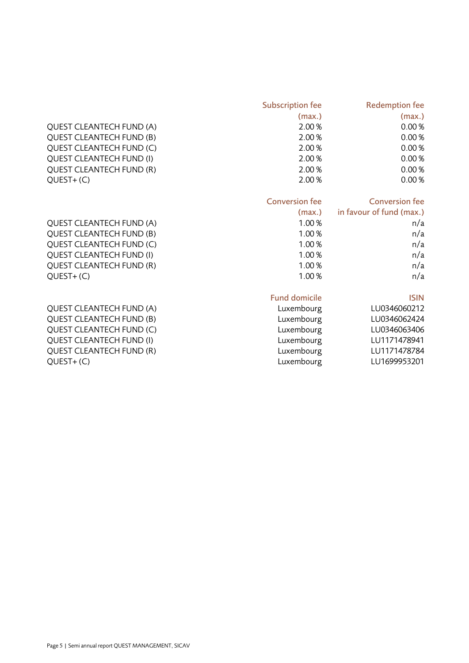|                                 | <b>Subscription fee</b> | <b>Redemption fee</b>    |
|---------------------------------|-------------------------|--------------------------|
|                                 | (max.)                  | (max.)                   |
| <b>QUEST CLEANTECH FUND (A)</b> | 2.00%                   | 0.00%                    |
| <b>QUEST CLEANTECH FUND (B)</b> | 2.00%                   | 0.00%                    |
| <b>QUEST CLEANTECH FUND (C)</b> | 2.00%                   | 0.00%                    |
| <b>QUEST CLEANTECH FUND (I)</b> | 2.00%                   | 0.00%                    |
| <b>QUEST CLEANTECH FUND (R)</b> | 2.00%                   | 0.00%                    |
| $QUEST+(C)$                     | 2.00%                   | 0.00%                    |
|                                 | <b>Conversion fee</b>   | <b>Conversion fee</b>    |
|                                 | (max.)                  | in favour of fund (max.) |
| <b>QUEST CLEANTECH FUND (A)</b> | 1.00%                   | n/a                      |
| <b>QUEST CLEANTECH FUND (B)</b> | 1.00%                   | n/a                      |
| QUEST CLEANTECH FUND (C)        | 1.00%                   | n/a                      |
| <b>QUEST CLEANTECH FUND (I)</b> | 1.00%                   | n/a                      |
| QUEST CLEANTECH FUND (R)        | 1.00%                   | n/a                      |
| QUEST+(C)                       | 1.00%                   | n/a                      |
|                                 | <b>Fund domicile</b>    | <b>ISIN</b>              |
| <b>QUEST CLEANTECH FUND (A)</b> | Luxembourg              | LU0346060212             |
| <b>QUEST CLEANTECH FUND (B)</b> | Luxembourg              | LU0346062424             |
| <b>QUEST CLEANTECH FUND (C)</b> | Luxembourg              | LU0346063406             |
| <b>QUEST CLEANTECH FUND (I)</b> | Luxembourg              | LU1171478941             |
| QUEST CLEANTECH FUND (R)        | Luxembourg              | LU1171478784             |
| $QUEST+(C)$                     | Luxembourg              | LU1699953201             |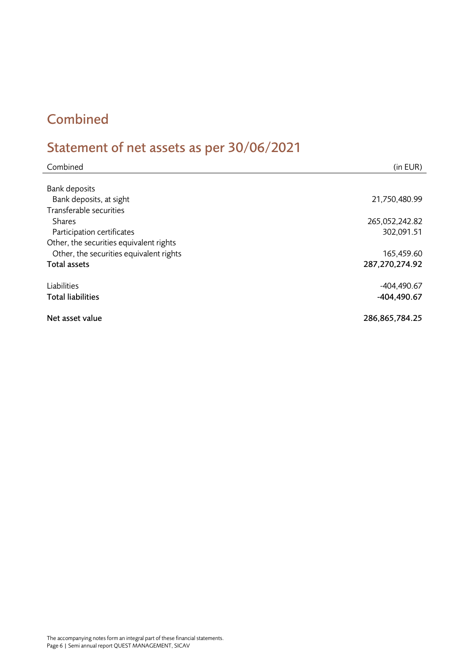# <span id="page-5-0"></span>Combined

# <span id="page-5-1"></span>Statement of net assets as per 30/06/2021

| Combined                                | (in EUR)       |
|-----------------------------------------|----------------|
|                                         |                |
| <b>Bank deposits</b>                    |                |
| Bank deposits, at sight                 | 21,750,480.99  |
| Transferable securities                 |                |
| <b>Shares</b>                           | 265,052,242.82 |
| Participation certificates              | 302,091.51     |
| Other, the securities equivalent rights |                |
| Other, the securities equivalent rights | 165,459.60     |
| Total assets                            | 287,270,274.92 |
| Liabilities                             | $-404,490.67$  |
| <b>Total liabilities</b>                | $-404, 490.67$ |
| Net asset value                         | 286,865,784.25 |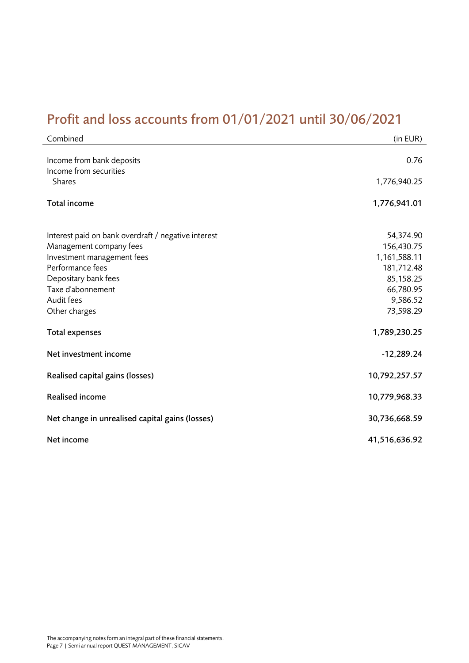# <span id="page-6-0"></span>Profit and loss accounts from 01/01/2021 until 30/06/2021

| Combined                                                                                                                                                                                                     | (in EUR)                                                                                                 |
|--------------------------------------------------------------------------------------------------------------------------------------------------------------------------------------------------------------|----------------------------------------------------------------------------------------------------------|
| Income from bank deposits<br>Income from securities<br>Shares                                                                                                                                                | 0.76<br>1,776,940.25                                                                                     |
| Total income                                                                                                                                                                                                 | 1,776,941.01                                                                                             |
| Interest paid on bank overdraft / negative interest<br>Management company fees<br>Investment management fees<br>Performance fees<br>Depositary bank fees<br>Taxe d'abonnement<br>Audit fees<br>Other charges | 54,374.90<br>156,430.75<br>1,161,588.11<br>181,712.48<br>85,158.25<br>66,780.95<br>9,586.52<br>73,598.29 |
| <b>Total expenses</b>                                                                                                                                                                                        | 1,789,230.25                                                                                             |
| Net investment income                                                                                                                                                                                        | $-12,289.24$                                                                                             |
| Realised capital gains (losses)                                                                                                                                                                              | 10,792,257.57                                                                                            |
| <b>Realised income</b>                                                                                                                                                                                       | 10,779,968.33                                                                                            |
| Net change in unrealised capital gains (losses)                                                                                                                                                              | 30,736,668.59                                                                                            |
| Net income                                                                                                                                                                                                   | 41,516,636.92                                                                                            |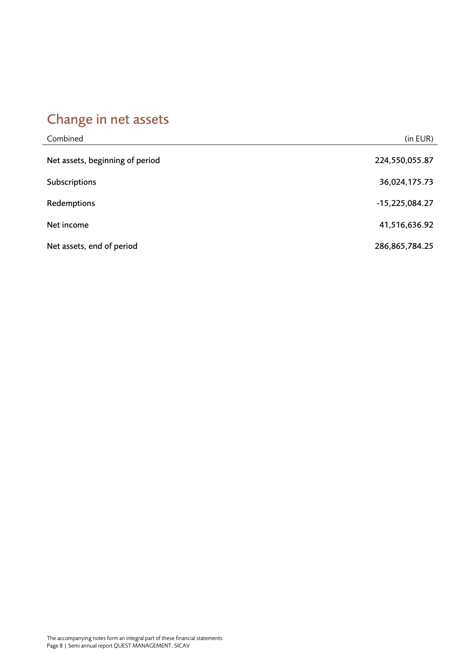# <span id="page-7-0"></span>Change in net assets

| Combined                        | (in EUR)         |
|---------------------------------|------------------|
| Net assets, beginning of period | 224,550,055.87   |
| Subscriptions                   | 36,024,175.73    |
| Redemptions                     | $-15,225,084.27$ |
| Net income                      | 41,516,636.92    |
| Net assets, end of period       | 286,865,784.25   |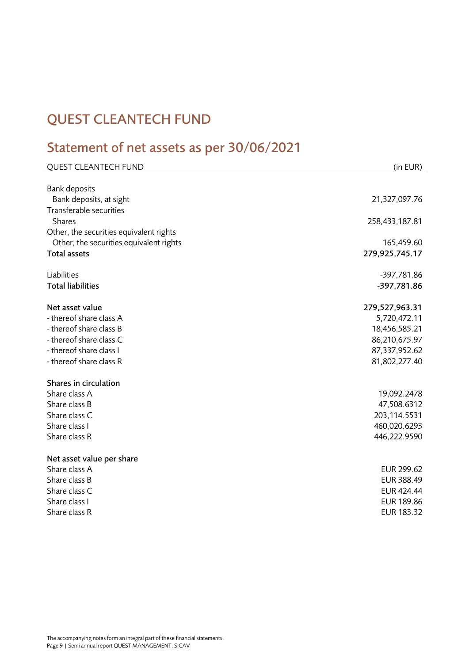# <span id="page-8-0"></span>QUEST CLEANTECH FUND

# <span id="page-8-1"></span>Statement of net assets as per 30/06/2021

| <b>QUEST CLEANTECH FUND</b>                                                                                                                            | (in EUR)                                                                                           |
|--------------------------------------------------------------------------------------------------------------------------------------------------------|----------------------------------------------------------------------------------------------------|
| <b>Bank deposits</b><br>Bank deposits, at sight                                                                                                        | 21,327,097.76                                                                                      |
| Transferable securities<br><b>Shares</b><br>Other, the securities equivalent rights                                                                    | 258,433,187.81                                                                                     |
| Other, the securities equivalent rights<br><b>Total assets</b>                                                                                         | 165,459.60<br>279,925,745.17                                                                       |
| Liabilities<br><b>Total liabilities</b>                                                                                                                | -397,781.86<br>-397,781.86                                                                         |
| Net asset value<br>- thereof share class A<br>- thereof share class B<br>- thereof share class C<br>- thereof share class I<br>- thereof share class R | 279,527,963.31<br>5,720,472.11<br>18,456,585.21<br>86,210,675.97<br>87,337,952.62<br>81,802,277.40 |
| Shares in circulation<br>Share class A<br>Share class B<br>Share class C<br>Share class I<br>Share class R                                             | 19,092.2478<br>47,508.6312<br>203,114.5531<br>460,020.6293<br>446,222.9590                         |
| Net asset value per share<br>Share class A<br>Share class B<br>Share class C<br>Share class I<br>Share class R                                         | EUR 299.62<br>EUR 388.49<br><b>EUR 424.44</b><br>EUR 189.86<br>EUR 183.32                          |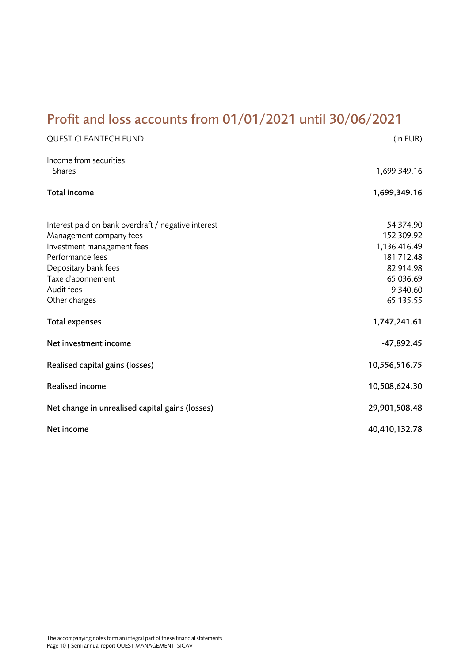# <span id="page-9-0"></span>Profit and loss accounts from 01/01/2021 until 30/06/2021

| <b>QUEST CLEANTECH FUND</b>                           | (in EUR)                   |
|-------------------------------------------------------|----------------------------|
| Income from securities<br><b>Shares</b>               | 1,699,349.16               |
| Total income                                          | 1,699,349.16               |
|                                                       |                            |
| Interest paid on bank overdraft / negative interest   | 54,374.90                  |
| Management company fees<br>Investment management fees | 152,309.92<br>1,136,416.49 |
| Performance fees                                      | 181,712.48                 |
| Depositary bank fees                                  | 82,914.98                  |
| Taxe d'abonnement                                     | 65,036.69                  |
| Audit fees                                            | 9,340.60                   |
| Other charges                                         | 65,135.55                  |
| <b>Total expenses</b>                                 | 1,747,241.61               |
| Net investment income                                 | $-47,892.45$               |
| Realised capital gains (losses)                       | 10,556,516.75              |
| <b>Realised income</b>                                | 10,508,624.30              |
| Net change in unrealised capital gains (losses)       | 29,901,508.48              |
| Net income                                            | 40,410,132.78              |
|                                                       |                            |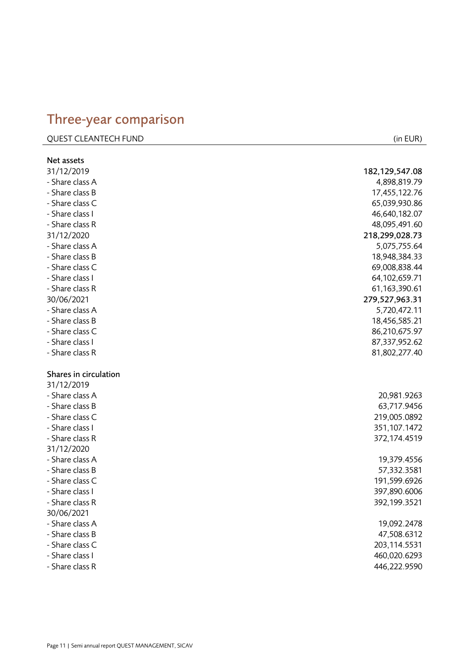## <span id="page-10-0"></span>Three -year comparison

| <b>QUEST CLEANTECH FUND</b> | (in EUR) |
|-----------------------------|----------|
|                             |          |

| Net assets            |                  |
|-----------------------|------------------|
| 31/12/2019            | 182, 129, 547.08 |
| - Share class A       | 4,898,819.79     |
| - Share class B       | 17,455,122.76    |
| - Share class C       | 65,039,930.86    |
| - Share class I       | 46,640,182.07    |
| - Share class R       | 48,095,491.60    |
| 31/12/2020            | 218,299,028.73   |
| - Share class A       | 5,075,755.64     |
| - Share class B       | 18,948,384.33    |
| - Share class C       | 69,008,838.44    |
| - Share class I       | 64,102,659.71    |
| - Share class R       | 61, 163, 390. 61 |
| 30/06/2021            | 279,527,963.31   |
| - Share class A       | 5,720,472.11     |
| - Share class B       | 18,456,585.21    |
| - Share class C       | 86,210,675.97    |
| - Share class I       | 87,337,952.62    |
| - Share class R       | 81,802,277.40    |
| Shares in circulation |                  |
| 31/12/2019            |                  |
| - Share class A       | 20,981.9263      |
| - Share class B       | 63,717.9456      |
| - Share class C       | 219,005.0892     |
| - Share class I       | 351,107.1472     |
| - Share class R       | 372,174.4519     |
| 31/12/2020            |                  |
| - Share class A       | 19,379.4556      |
| - Share class B       | 57,332.3581      |
| - Share class C       | 191,599.6926     |
| - Share class I       | 397,890.6006     |
| - Share class R       | 392,199.3521     |
| 30/06/2021            |                  |
| - Share class A       | 19,092.2478      |
| - Share class B       |                  |
|                       | 47,508.6312      |
| - Share class C       | 203,114.5531     |
| - Share class I       | 460,020.6293     |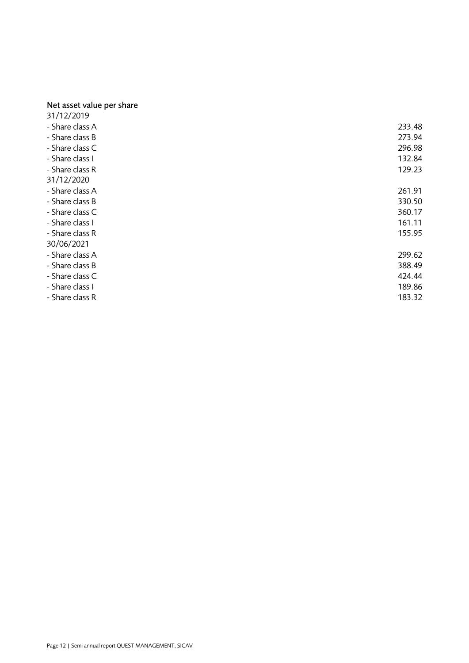#### Net asset value per share

| 31/12/2019      |        |
|-----------------|--------|
| - Share class A | 233.48 |
| - Share class B | 273.94 |
| - Share class C | 296.98 |
| - Share class I | 132.84 |
| - Share class R | 129.23 |
| 31/12/2020      |        |
| - Share class A | 261.91 |
| - Share class B | 330.50 |
| - Share class C | 360.17 |
| - Share class I | 161.11 |
| - Share class R | 155.95 |
| 30/06/2021      |        |
| - Share class A | 299.62 |
| - Share class B | 388.49 |
| - Share class C | 424.44 |
| - Share class I | 189.86 |
| - Share class R | 183.32 |
|                 |        |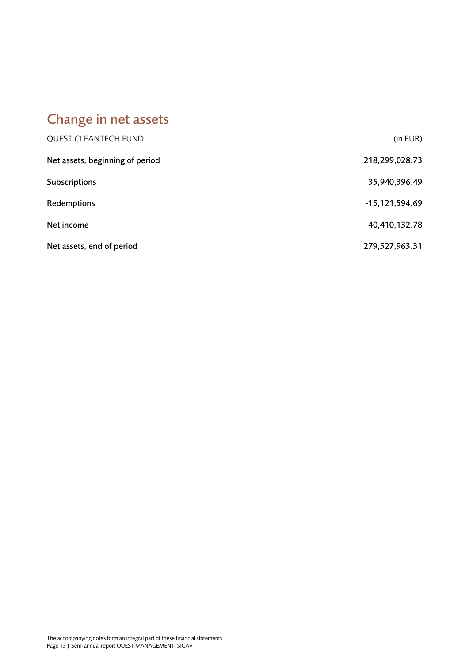# <span id="page-12-0"></span>Change in net assets

| <b>QUEST CLEANTECH FUND</b>     | (in EUR)           |
|---------------------------------|--------------------|
| Net assets, beginning of period | 218,299,028.73     |
| Subscriptions                   | 35,940,396.49      |
| Redemptions                     | $-15, 121, 594.69$ |
| Net income                      | 40,410,132.78      |
| Net assets, end of period       | 279,527,963.31     |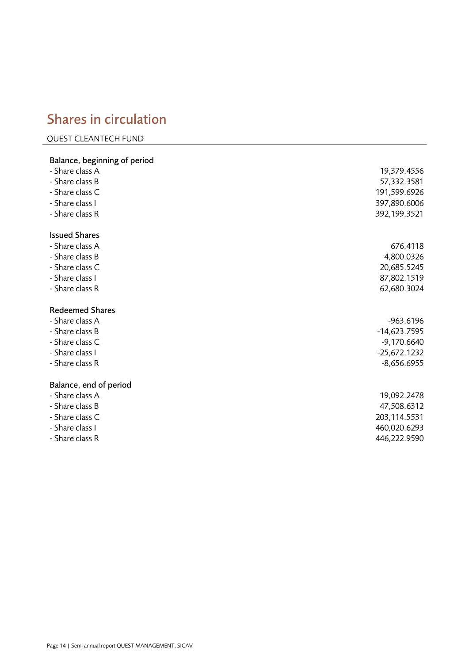## <span id="page-13-0"></span>Shares in circulation

#### QUEST CLEANTECH FUND

## Balance, beginning of period - Share class A 19,379.4556 - Share class B 57,332.3581 - Share class C 191,599.6926 - Share class I 397,890.6006 - Share class R 392,199.3521 Issued Shares - Share class A 676.4118 - Share class B 4,800.0326 - Share class C 20,685.5245 - Share class I 87,802.1519 - Share class R 62,680.3024 Redeemed Shares - Share class A -963.6196 - Share class B -14,623.7595 - Share class C -9,170.6640 - Share class I -25,672.1232 - Share class R -8,656.6955 Balance, end of period - Share class A 19,092.2478 - Share class B 47,508.6312 - Share class C 203,114.5531 - Share class I 460,020.6293 - Share class R 446,222.9590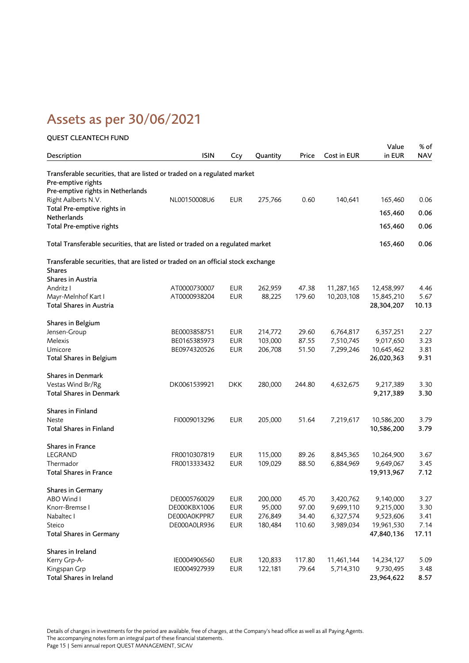# <span id="page-14-0"></span>Assets as per 30/06/2021

### QUEST CLEANTECH FUND Description **ISIN** Ccy Quantity Price Cost in EUR Value in EUR % of **NAV** Transferable securities, that are listed or traded on a regulated market Pre-emptive rights Pre-emptive rights in Netherlands Right Aalberts N.V. **NUMBER 275,766** 0.60 140,641 165,460 0.06 Total Pre-emptive rights in Netherlands 165,460 0.06 Total Pre-emptive rights 165,460 0.06 Total Transferable securities, that are listed or traded on a regulated market 165,460 0.06 Transferable securities, that are listed or traded on an official stock exchange Shares Shares in Austria Andritz I AT0000730007 EUR 262,959 47.38 11,287,165 12,458,997 4.46 Mayr-Melnhof Kart I AT0000938204 EUR 88,225 179.60 10,203,108 15,845,210 5.67 Total Shares in Austria 28,304,207 10.13 Shares in Belgium Jensen-Group BE0003858751 EUR 214,772 29.60 6,764,817 6,357,251 2.27 Melexis BE0165385973 EUR 103,000 87.55 7,510,745 9,017,650 3.23 Umicore BE0974320526 EUR 206,708 51.50 7,299,246 10,645,462 3.81 Total Shares in Belgium 26,020,363 9.31 Shares in Denmark Vestas Wind Br/Rg DK0061539921 DKK 280,000 244.80 4,632,675 9,217,389 3.30 Total Shares in Denmark 9,217,389 3.30 Shares in Finland Neste FI0009013296 EUR 205,000 51.64 7,219,617 10,586,200 3.79 Total Shares in Finland 10,586,200 3.79 Shares in France LEGRAND FR0010307819 EUR 115,000 89.26 8,845,365 10,264,900 3.67 Thermador FR0013333432 EUR 109,029 88.50 6,884,969 9,649,067 3.45 Total Shares in France 19,913,967 7.12 Shares in Germany ABO Wind I **DE0005760029** EUR 200,000 45.70 3,420,762 9,140,000 3.27 Knorr-Bremse I DE000KBX1006 EUR 95,000 97.00 9,699,110 9,215,000 3.30 Nabaltec I **DE000A0KPPR7** EUR 276,849 34.40 6,327,574 9,523,606 3.41 Steico DE000A0LR936 EUR 180,484 110.60 3,989,034 19,961,530 7.14 Total Shares in Germany 47,840,136 17.11 Shares in Ireland Kerry Grp-A- IE0004906560 EUR 120,833 117.80 11,461,144 14,234,127 5.09 Kingspan Grp IE0004927939 EUR 122,181 79.64 5,714,310 9,730,495 3.48

Total Shares in Ireland 23,964,622 8.57

Details of changes in investments for the period are available, free of charges, at the Company's head office as well as all Paying Agents. The accompanying notes form an integral part of these financial statements. Page 15 | Semi annual report QUEST MANAGEMENT, SICAV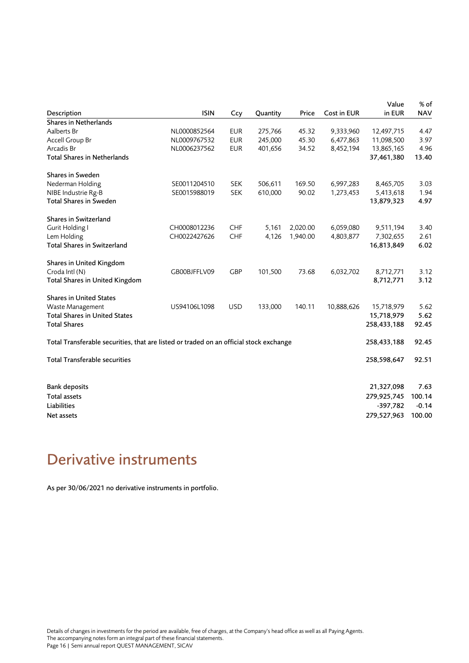|                                                                                        |              |            |          |          |             | Value       | % of       |
|----------------------------------------------------------------------------------------|--------------|------------|----------|----------|-------------|-------------|------------|
| Description                                                                            | <b>ISIN</b>  | Ccy        | Quantity | Price    | Cost in EUR | in EUR      | <b>NAV</b> |
| Shares in Netherlands                                                                  |              |            |          |          |             |             |            |
| Aalberts Br                                                                            | NL0000852564 | <b>EUR</b> | 275,766  | 45.32    | 9,333,960   | 12,497,715  | 4.47       |
| Accell Group Br                                                                        | NL0009767532 | <b>EUR</b> | 245,000  | 45.30    | 6,477,863   | 11,098,500  | 3.97       |
| Arcadis Br                                                                             | NL0006237562 | <b>EUR</b> | 401,656  | 34.52    | 8,452,194   | 13,865,165  | 4.96       |
| <b>Total Shares in Netherlands</b>                                                     |              |            |          |          |             | 37,461,380  | 13.40      |
| Shares in Sweden                                                                       |              |            |          |          |             |             |            |
| Nederman Holding                                                                       | SE0011204510 | <b>SEK</b> | 506,611  | 169.50   | 6,997,283   | 8,465,705   | 3.03       |
| NIBE Industrie Rg-B                                                                    | SE0015988019 | <b>SEK</b> | 610,000  | 90.02    | 1,273,453   | 5,413,618   | 1.94       |
| <b>Total Shares in Sweden</b>                                                          |              |            |          |          |             | 13,879,323  | 4.97       |
| Shares in Switzerland                                                                  |              |            |          |          |             |             |            |
| Gurit Holding I                                                                        | CH0008012236 | CHF        | 5,161    | 2,020.00 | 6,059,080   | 9,511,194   | 3.40       |
| Lem Holding                                                                            | CH0022427626 | CHF        | 4,126    | 1,940.00 | 4,803,877   | 7,302,655   | 2.61       |
| <b>Total Shares in Switzerland</b>                                                     |              |            |          |          |             | 16,813,849  | 6.02       |
| Shares in United Kingdom                                                               |              |            |          |          |             |             |            |
| Croda Intl (N)                                                                         | GB00BJFFLV09 | <b>GBP</b> | 101,500  | 73.68    | 6,032,702   | 8,712,771   | 3.12       |
| Total Shares in United Kingdom                                                         |              |            |          |          |             | 8,712,771   | 3.12       |
| <b>Shares in United States</b>                                                         |              |            |          |          |             |             |            |
| Waste Management                                                                       | US94106L1098 | <b>USD</b> | 133,000  | 140.11   | 10,888,626  | 15,718,979  | 5.62       |
| <b>Total Shares in United States</b>                                                   |              |            |          |          |             | 15,718,979  | 5.62       |
| <b>Total Shares</b>                                                                    |              |            |          |          |             | 258,433,188 | 92.45      |
| Total Transferable securities, that are listed or traded on an official stock exchange |              |            |          |          |             | 258,433,188 | 92.45      |
| <b>Total Transferable securities</b>                                                   |              |            |          |          |             | 258,598,647 | 92.51      |
| <b>Bank deposits</b>                                                                   |              |            |          |          |             | 21,327,098  | 7.63       |
| <b>Total assets</b>                                                                    |              |            |          |          |             | 279,925,745 | 100.14     |
| Liabilities                                                                            |              |            |          |          |             | $-397,782$  | $-0.14$    |
|                                                                                        |              |            |          |          |             |             |            |
| Net assets                                                                             |              |            |          |          |             | 279,527,963 | 100.00     |

# <span id="page-15-0"></span>Derivative instruments

As per 30/06/2021 no derivative instruments in portfolio.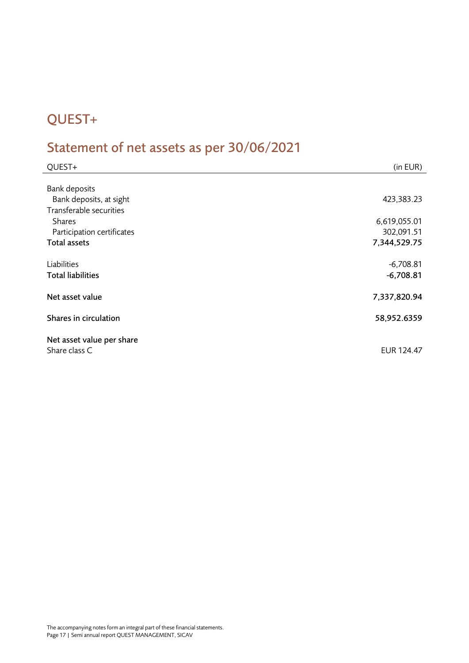# <span id="page-16-0"></span>QUEST+

# <span id="page-16-1"></span>Statement of net assets as per 30/06/2021

| QUEST+                     | (in EUR)     |
|----------------------------|--------------|
|                            |              |
| <b>Bank deposits</b>       |              |
| Bank deposits, at sight    | 423,383.23   |
| Transferable securities    |              |
| <b>Shares</b>              | 6,619,055.01 |
| Participation certificates | 302,091.51   |
| Total assets               | 7,344,529.75 |
|                            |              |
| Liabilities                | $-6,708.81$  |
| <b>Total liabilities</b>   | $-6,708.81$  |
|                            |              |
| Net asset value            | 7,337,820.94 |
|                            |              |
| Shares in circulation      | 58,952.6359  |
|                            |              |
| Net asset value per share  |              |
| Share class C              | EUR 124.47   |
|                            |              |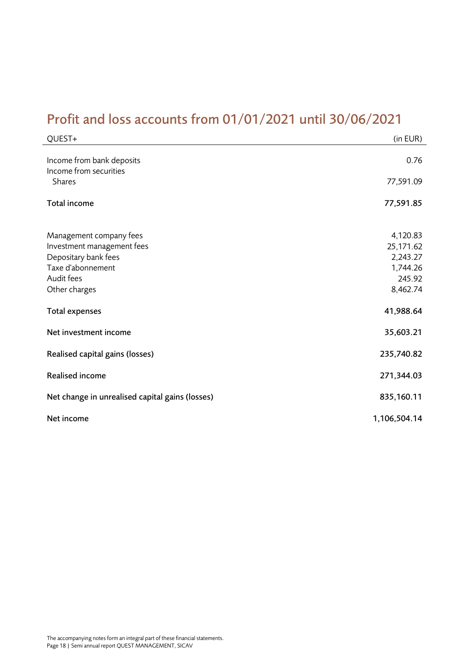# <span id="page-17-0"></span>Profit and loss accounts from 01/01/2021 until 30/06/2021

| QUEST+                                                                                                                            | (in EUR)                                                            |
|-----------------------------------------------------------------------------------------------------------------------------------|---------------------------------------------------------------------|
| Income from bank deposits<br>Income from securities<br><b>Shares</b>                                                              | 0.76<br>77,591.09                                                   |
| Total income                                                                                                                      | 77,591.85                                                           |
| Management company fees<br>Investment management fees<br>Depositary bank fees<br>Taxe d'abonnement<br>Audit fees<br>Other charges | 4,120.83<br>25,171.62<br>2,243.27<br>1,744.26<br>245.92<br>8,462.74 |
| <b>Total expenses</b>                                                                                                             | 41,988.64                                                           |
| Net investment income                                                                                                             | 35,603.21                                                           |
| Realised capital gains (losses)                                                                                                   | 235,740.82                                                          |
| <b>Realised income</b>                                                                                                            | 271,344.03                                                          |
| Net change in unrealised capital gains (losses)                                                                                   | 835,160.11                                                          |
| Net income                                                                                                                        | 1,106,504.14                                                        |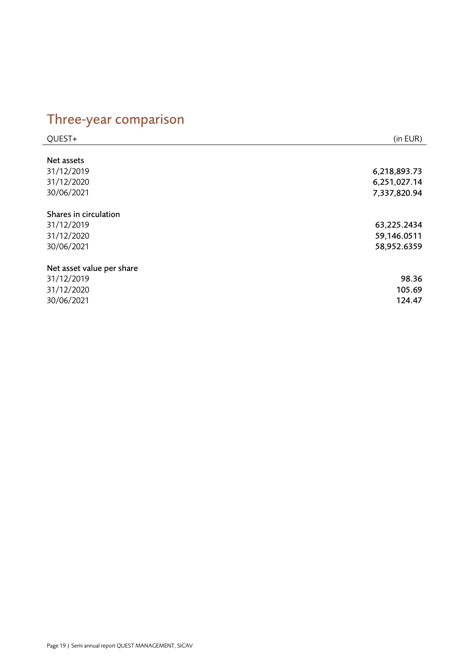# <span id="page-18-0"></span>Three-year comparison

| QUEST+                    | (in EUR)     |
|---------------------------|--------------|
|                           |              |
| Net assets                |              |
| 31/12/2019                | 6,218,893.73 |
| 31/12/2020                | 6,251,027.14 |
| 30/06/2021                | 7,337,820.94 |
| Shares in circulation     |              |
| 31/12/2019                | 63,225.2434  |
| 31/12/2020                | 59,146.0511  |
| 30/06/2021                | 58,952.6359  |
| Net asset value per share |              |
| 31/12/2019                | 98.36        |
| 31/12/2020                | 105.69       |
| 30/06/2021                | 124.47       |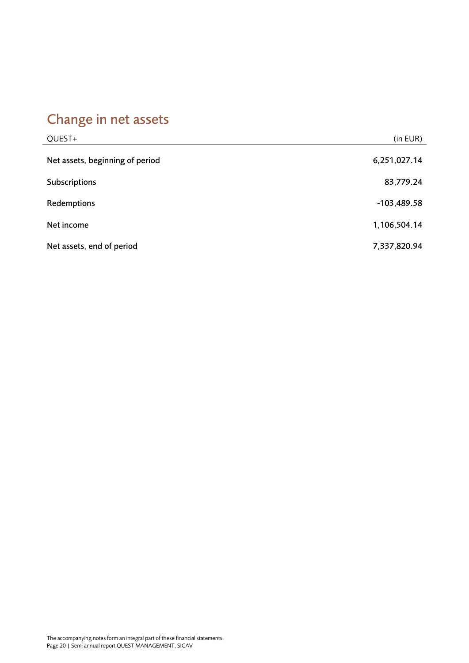# <span id="page-19-0"></span>Change in net assets

| QUEST+                          | (in EUR)      |
|---------------------------------|---------------|
| Net assets, beginning of period | 6,251,027.14  |
| Subscriptions                   | 83,779.24     |
| Redemptions                     | $-103,489.58$ |
| Net income                      | 1,106,504.14  |
| Net assets, end of period       | 7,337,820.94  |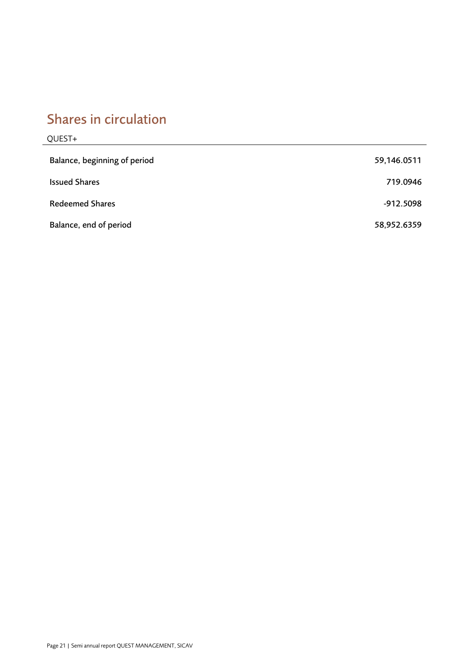# <span id="page-20-0"></span>Shares in circulation

## QUEST+

| Balance, beginning of period | 59,146.0511 |
|------------------------------|-------------|
| <b>Issued Shares</b>         | 719.0946    |
| <b>Redeemed Shares</b>       | -912.5098   |
| Balance, end of period       | 58,952.6359 |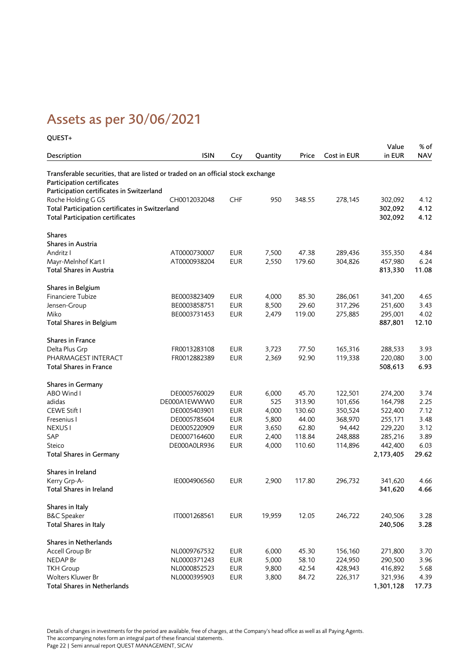# <span id="page-21-0"></span>Assets as per 30/06/2021

| QUEST+                                                                           |              |            |          |        |             |                 |                    |
|----------------------------------------------------------------------------------|--------------|------------|----------|--------|-------------|-----------------|--------------------|
| Description                                                                      | <b>ISIN</b>  | Ccy        | Quantity | Price  | Cost in EUR | Value<br>in EUR | % of<br><b>NAV</b> |
| Transferable securities, that are listed or traded on an official stock exchange |              |            |          |        |             |                 |                    |
| Participation certificates                                                       |              |            |          |        |             |                 |                    |
| Participation certificates in Switzerland                                        |              |            |          |        |             |                 |                    |
| Roche Holding G GS                                                               | CH0012032048 | <b>CHF</b> | 950      | 348.55 | 278,145     | 302,092         | 4.12               |
| Total Participation certificates in Switzerland                                  |              |            |          |        |             | 302,092         | 4.12               |
| <b>Total Participation certificates</b>                                          |              |            |          |        |             | 302,092         | 4.12               |
| <b>Shares</b>                                                                    |              |            |          |        |             |                 |                    |
| Shares in Austria                                                                |              |            |          |        |             |                 |                    |
| Andritz I                                                                        | AT0000730007 | <b>EUR</b> | 7,500    | 47.38  | 289,436     | 355,350         | 4.84               |
| Mayr-Melnhof Kart I                                                              | AT0000938204 | <b>EUR</b> | 2,550    | 179.60 | 304,826     | 457,980         | 6.24               |
| <b>Total Shares in Austria</b>                                                   |              |            |          |        |             | 813,330         | 11.08              |
| Shares in Belgium                                                                |              |            |          |        |             |                 |                    |
| Financiere Tubize                                                                | BE0003823409 | <b>EUR</b> | 4,000    | 85.30  | 286,061     | 341,200         | 4.65               |
| Jensen-Group                                                                     | BE0003858751 | <b>EUR</b> | 8,500    | 29.60  | 317,296     | 251,600         | 3.43               |
| Miko                                                                             | BE0003731453 | <b>EUR</b> | 2,479    | 119.00 | 275,885     | 295,001         | 4.02               |
| <b>Total Shares in Belgium</b>                                                   |              |            |          |        |             | 887,801         | 12.10              |
| <b>Shares in France</b>                                                          |              |            |          |        |             |                 |                    |
| Delta Plus Grp                                                                   | FR0013283108 | <b>EUR</b> | 3,723    | 77.50  | 165,316     | 288,533         | 3.93               |
| PHARMAGEST INTERACT                                                              | FR0012882389 | <b>EUR</b> | 2,369    | 92.90  | 119,338     | 220,080         | 3.00               |
| <b>Total Shares in France</b>                                                    |              |            |          |        |             | 508,613         | 6.93               |
| <b>Shares in Germany</b>                                                         |              |            |          |        |             |                 |                    |
| ABO Wind I                                                                       | DE0005760029 | <b>EUR</b> | 6,000    | 45.70  | 122,501     | 274,200         | 3.74               |
| adidas                                                                           | DE000A1EWWW0 | <b>EUR</b> | 525      | 313.90 | 101,656     | 164,798         | 2.25               |
| CEWE Stift I                                                                     | DE0005403901 | <b>EUR</b> | 4,000    | 130.60 | 350,524     | 522,400         | 7.12               |
| Fresenius I                                                                      | DE0005785604 | <b>EUR</b> | 5,800    | 44.00  | 368,970     | 255,171         | 3.48               |
| NEXUS I                                                                          | DE0005220909 | <b>EUR</b> | 3,650    | 62.80  | 94,442      | 229,220         | 3.12               |
| SAP                                                                              | DE0007164600 | <b>EUR</b> | 2,400    | 118.84 | 248,888     | 285,216         | 3.89               |
| Steico                                                                           | DE000A0LR936 | <b>EUR</b> | 4,000    | 110.60 | 114,896     | 442,400         | 6.03               |
| <b>Total Shares in Germany</b>                                                   |              |            |          |        |             | 2,173,405       | 29.62              |
| Shares in Ireland                                                                |              |            |          |        |             |                 |                    |
| Kerry Grp-A-                                                                     | IE0004906560 | <b>EUR</b> | 2,900    | 117.80 | 296,732     | 341,620         | 4.66               |
| Total Shares in Ireland                                                          |              |            |          |        |             | 341,620         | 4.66               |
| Shares in Italy                                                                  |              |            |          |        |             |                 |                    |
| <b>B&amp;C</b> Speaker                                                           | IT0001268561 | <b>EUR</b> | 19,959   | 12.05  | 246,722     | 240,506         | 3.28               |
| Total Shares in Italy                                                            |              |            |          |        |             | 240,506         | 3.28               |
| Shares in Netherlands                                                            |              |            |          |        |             |                 |                    |
| Accell Group Br                                                                  | NL0009767532 | <b>EUR</b> | 6,000    | 45.30  | 156,160     | 271,800         | 3.70               |
| NEDAP Br                                                                         | NL0000371243 | <b>EUR</b> | 5,000    | 58.10  | 224,950     | 290,500         | 3.96               |
| <b>TKH Group</b>                                                                 | NL0000852523 | <b>EUR</b> | 9,800    | 42.54  | 428,943     | 416,892         | 5.68               |
| Wolters Kluwer Br                                                                | NL0000395903 | <b>EUR</b> | 3,800    | 84.72  | 226,317     | 321,936         | 4.39               |
| Total Shares in Netherlands                                                      |              |            |          |        |             | 1,301,128       | 17.73              |

Details of changes in investments for the period are available, free of charges, at the Company's head office as well as all Paying Agents. The accompanying notes form an integral part of these financial statements. Page 22 | Semi annual report QUEST MANAGEMENT, SICAV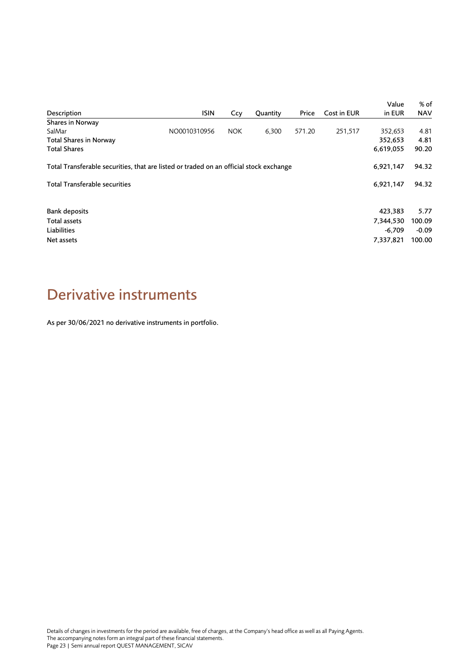|                                                                                        |              |            |          |        |             | Value     | % of       |
|----------------------------------------------------------------------------------------|--------------|------------|----------|--------|-------------|-----------|------------|
| Description                                                                            | <b>ISIN</b>  | Ccy        | Quantity | Price  | Cost in EUR | in EUR    | <b>NAV</b> |
| Shares in Norway                                                                       |              |            |          |        |             |           |            |
| SalMar                                                                                 | NO0010310956 | <b>NOK</b> | 6,300    | 571.20 | 251,517     | 352,653   | 4.81       |
| Total Shares in Norway                                                                 |              |            |          |        |             | 352,653   | 4.81       |
| <b>Total Shares</b>                                                                    |              |            |          |        |             | 6,619,055 | 90.20      |
| Total Transferable securities, that are listed or traded on an official stock exchange |              |            |          |        |             | 6,921,147 | 94.32      |
| <b>Total Transferable securities</b>                                                   |              |            |          |        |             | 6,921,147 | 94.32      |
| <b>Bank deposits</b>                                                                   |              |            |          |        |             | 423,383   | 5.77       |
| Total assets                                                                           |              |            |          |        |             | 7,344,530 | 100.09     |
| Liabilities                                                                            |              |            |          |        |             | $-6,709$  | $-0.09$    |
| Net assets                                                                             |              |            |          |        |             | 7,337,821 | 100.00     |

# <span id="page-22-0"></span>Derivative instruments

As per 30/06/2021 no derivative instruments in portfolio.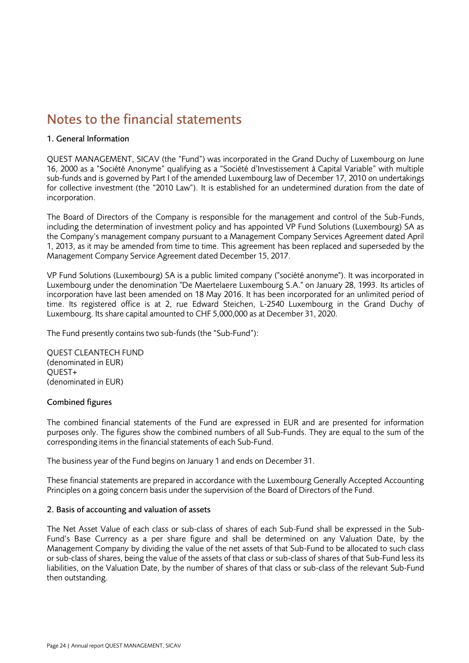## <span id="page-23-0"></span>Notes to the financial statements

### 1. General Information

QUEST MANAGEMENT, SICAV (the "Fund") was incorporated in the Grand Duchy of Luxembourg on June 16, 2000 as a "Société Anonyme" qualifying as a "Société d'Investissement à Capital Variable" with multiple sub-funds and is governed by Part I of the amended Luxembourg law of December 17, 2010 on undertakings for collective investment (the "2010 Law"). It is established for an undetermined duration from the date of incorporation.

The Board of Directors of the Company is responsible for the management and control of the Sub-Funds, including the determination of investment policy and has appointed VP Fund Solutions (Luxembourg) SA as the Company's management company pursuant to a Management Company Services Agreement dated April 1, 2013, as it may be amended from time to time. This agreement has been replaced and superseded by the Management Company Service Agreement dated December 15, 2017.

VP Fund Solutions (Luxembourg) SA is a public limited company ("société anonyme"). It was incorporated in Luxembourg under the denomination "De Maertelaere Luxembourg S.A." on January 28, 1993. Its articles of incorporation have last been amended on 18 May 2016. It has been incorporated for an unlimited period of time. Its registered office is at 2, rue Edward Steichen, L-2540 Luxembourg in the Grand Duchy of Luxembourg. Its share capital amounted to CHF 5,000,000 as at December 31, 2020.

The Fund presently contains two sub-funds (the "Sub-Fund"):

QUEST CLEANTECH FUND (denominated in EUR) QUEST+ (denominated in EUR)

## Combined figures

The combined financial statements of the Fund are expressed in EUR and are presented for information purposes only. The figures show the combined numbers of all Sub-Funds. They are equal to the sum of the corresponding items in the financial statements of each Sub-Fund.

The business year of the Fund begins on January 1 and ends on December 31.

These financial statements are prepared in accordance with the Luxembourg Generally Accepted Accounting Principles on a going concern basis under the supervision of the Board of Directors of the Fund.

## 2. Basis of accounting and valuation of assets

The Net Asset Value of each class or sub-class of shares of each Sub-Fund shall be expressed in the Sub-Fund's Base Currency as a per share figure and shall be determined on any Valuation Date, by the Management Company by dividing the value of the net assets of that Sub-Fund to be allocated to such class or sub-class of shares, being the value of the assets of that class or sub-class of shares of that Sub-Fund less its liabilities, on the Valuation Date, by the number of shares of that class or sub-class of the relevant Sub-Fund then outstanding.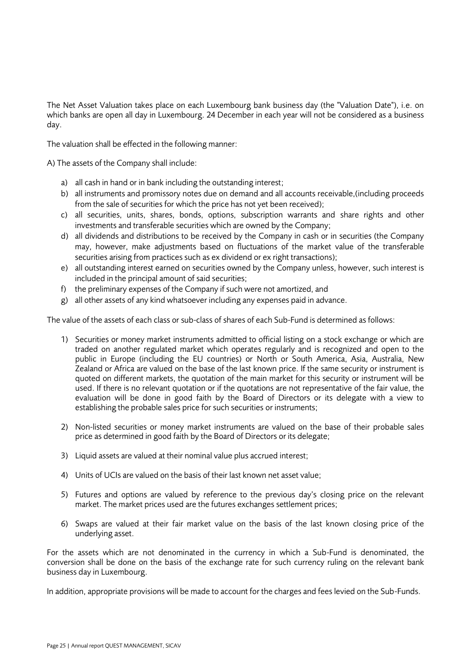The Net Asset Valuation takes place on each Luxembourg bank business day (the "Valuation Date"), i.e. on which banks are open all day in Luxembourg. 24 December in each year will not be considered as a business day.

The valuation shall be effected in the following manner:

A) The assets of the Company shall include:

- a) all cash in hand or in bank including the outstanding interest;
- b) all instruments and promissory notes due on demand and all accounts receivable,(including proceeds from the sale of securities for which the price has not yet been received);
- c) all securities, units, shares, bonds, options, subscription warrants and share rights and other investments and transferable securities which are owned by the Company;
- d) all dividends and distributions to be received by the Company in cash or in securities (the Company may, however, make adjustments based on fluctuations of the market value of the transferable securities arising from practices such as ex dividend or ex right transactions);
- e) all outstanding interest earned on securities owned by the Company unless, however, such interest is included in the principal amount of said securities;
- f) the preliminary expenses of the Company if such were not amortized, and
- g) all other assets of any kind whatsoever including any expenses paid in advance.

The value of the assets of each class or sub-class of shares of each Sub-Fund is determined as follows:

- 1) Securities or money market instruments admitted to official listing on a stock exchange or which are traded on another regulated market which operates regularly and is recognized and open to the public in Europe (including the EU countries) or North or South America, Asia, Australia, New Zealand or Africa are valued on the base of the last known price. If the same security or instrument is quoted on different markets, the quotation of the main market for this security or instrument will be used. If there is no relevant quotation or if the quotations are not representative of the fair value, the evaluation will be done in good faith by the Board of Directors or its delegate with a view to establishing the probable sales price for such securities or instruments;
- 2) Non-listed securities or money market instruments are valued on the base of their probable sales price as determined in good faith by the Board of Directors or its delegate;
- 3) Liquid assets are valued at their nominal value plus accrued interest;
- 4) Units of UCIs are valued on the basis of their last known net asset value;
- 5) Futures and options are valued by reference to the previous day's closing price on the relevant market. The market prices used are the futures exchanges settlement prices;
- 6) Swaps are valued at their fair market value on the basis of the last known closing price of the underlying asset.

For the assets which are not denominated in the currency in which a Sub-Fund is denominated, the conversion shall be done on the basis of the exchange rate for such currency ruling on the relevant bank business day in Luxembourg.

In addition, appropriate provisions will be made to account for the charges and fees levied on the Sub-Funds.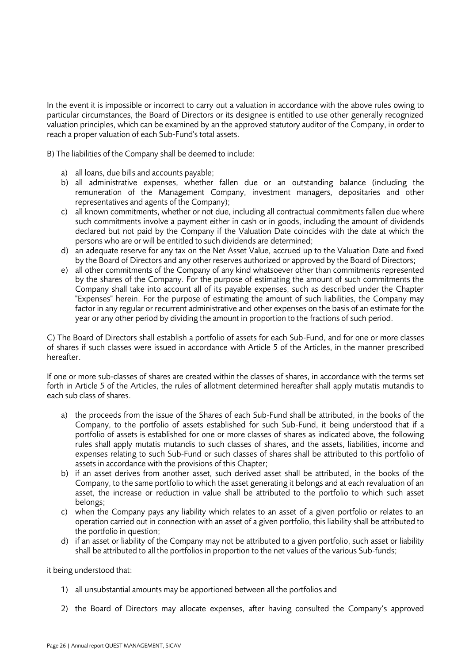In the event it is impossible or incorrect to carry out a valuation in accordance with the above rules owing to particular circumstances, the Board of Directors or its designee is entitled to use other generally recognized valuation principles, which can be examined by an the approved statutory auditor of the Company, in order to reach a proper valuation of each Sub-Fund's total assets.

B) The liabilities of the Company shall be deemed to include:

- a) all loans, due bills and accounts payable;
- b) all administrative expenses, whether fallen due or an outstanding balance (including the remuneration of the Management Company, investment managers, depositaries and other representatives and agents of the Company);
- c) all known commitments, whether or not due, including all contractual commitments fallen due where such commitments involve a payment either in cash or in goods, including the amount of dividends declared but not paid by the Company if the Valuation Date coincides with the date at which the persons who are or will be entitled to such dividends are determined;
- d) an adequate reserve for any tax on the Net Asset Value, accrued up to the Valuation Date and fixed by the Board of Directors and any other reserves authorized or approved by the Board of Directors;
- e) all other commitments of the Company of any kind whatsoever other than commitments represented by the shares of the Company. For the purpose of estimating the amount of such commitments the Company shall take into account all of its payable expenses, such as described under the Chapter "Expenses" herein. For the purpose of estimating the amount of such liabilities, the Company may factor in any regular or recurrent administrative and other expenses on the basis of an estimate for the year or any other period by dividing the amount in proportion to the fractions of such period.

C) The Board of Directors shall establish a portfolio of assets for each Sub-Fund, and for one or more classes of shares if such classes were issued in accordance with Article 5 of the Articles, in the manner prescribed hereafter.

If one or more sub-classes of shares are created within the classes of shares, in accordance with the terms set forth in Article 5 of the Articles, the rules of allotment determined hereafter shall apply mutatis mutandis to each sub class of shares.

- a) the proceeds from the issue of the Shares of each Sub-Fund shall be attributed, in the books of the Company, to the portfolio of assets established for such Sub-Fund, it being understood that if a portfolio of assets is established for one or more classes of shares as indicated above, the following rules shall apply mutatis mutandis to such classes of shares, and the assets, liabilities, income and expenses relating to such Sub-Fund or such classes of shares shall be attributed to this portfolio of assets in accordance with the provisions of this Chapter;
- b) if an asset derives from another asset, such derived asset shall be attributed, in the books of the Company, to the same portfolio to which the asset generating it belongs and at each revaluation of an asset, the increase or reduction in value shall be attributed to the portfolio to which such asset belongs;
- c) when the Company pays any liability which relates to an asset of a given portfolio or relates to an operation carried out in connection with an asset of a given portfolio, this liability shall be attributed to the portfolio in question;
- d) if an asset or liability of the Company may not be attributed to a given portfolio, such asset or liability shall be attributed to all the portfolios in proportion to the net values of the various Sub-funds;

it being understood that:

- 1) all unsubstantial amounts may be apportioned between all the portfolios and
- 2) the Board of Directors may allocate expenses, after having consulted the Company's approved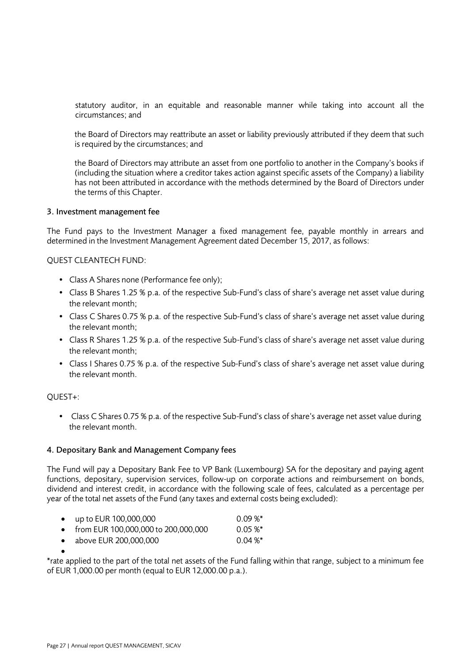statutory auditor, in an equitable and reasonable manner while taking into account all the circumstances; and

the Board of Directors may reattribute an asset or liability previously attributed if they deem that such is required by the circumstances; and

the Board of Directors may attribute an asset from one portfolio to another in the Company's books if (including the situation where a creditor takes action against specific assets of the Company) a liability has not been attributed in accordance with the methods determined by the Board of Directors under the terms of this Chapter.

#### 3. Investment management fee

The Fund pays to the Investment Manager a fixed management fee, payable monthly in arrears and determined in the Investment Management Agreement dated December 15, 2017, as follows:

#### QUEST CLEANTECH FUND:

- Class A Shares none (Performance fee only);
- Class B Shares 1.25 % p.a. of the respective Sub-Fund's class of share's average net asset value during the relevant month;
- Class C Shares 0.75 % p.a. of the respective Sub-Fund's class of share's average net asset value during the relevant month;
- Class R Shares 1.25 % p.a. of the respective Sub-Fund's class of share's average net asset value during the relevant month;
- Class I Shares 0.75 % p.a. of the respective Sub-Fund's class of share's average net asset value during the relevant month.

#### QUEST+:

• Class C Shares 0.75 % p.a. of the respective Sub-Fund's class of share's average net asset value during the relevant month.

#### 4. Depositary Bank and Management Company fees

The Fund will pay a Depositary Bank Fee to VP Bank (Luxembourg) SA for the depositary and paying agent functions, depositary, supervision services, follow-up on corporate actions and reimbursement on bonds, dividend and interest credit, in accordance with the following scale of fees, calculated as a percentage per year of the total net assets of the Fund (any taxes and external costs being excluded):

|  |  | up to EUR 100,000,000 | $0.09\,\%^*$ |
|--|--|-----------------------|--------------|
|--|--|-----------------------|--------------|

- from EUR 100,000,000 to 200,000,000 0.05 %\*
- above EUR 200,000,000 0.04 %\*

•

\*rate applied to the part of the total net assets of the Fund falling within that range, subject to a minimum fee of EUR 1,000.00 per month (equal to EUR 12,000.00 p.a.).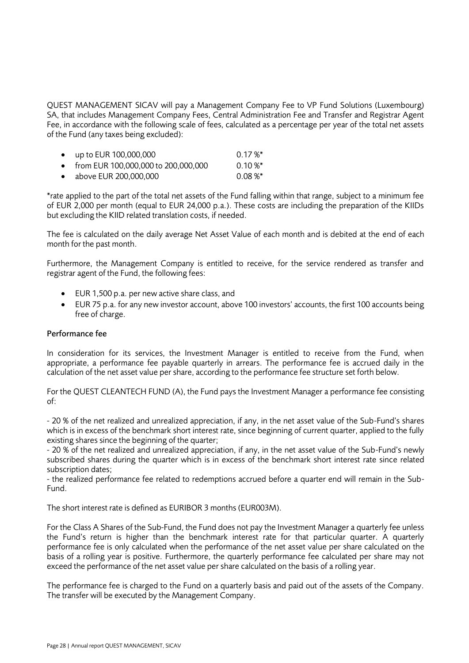QUEST MANAGEMENT SICAV will pay a Management Company Fee to VP Fund Solutions (Luxembourg) SA, that includes Management Company Fees, Central Administration Fee and Transfer and Registrar Agent Fee, in accordance with the following scale of fees, calculated as a percentage per year of the total net assets of the Fund (any taxes being excluded):

| • up to EUR $100,000,000$             | $0.17\%$ * |
|---------------------------------------|------------|
| • from EUR 100,000,000 to 200,000,000 | $0.10\%$ * |
| $\bullet$ above EUR 200,000,000       | $0.08\%$   |

\*rate applied to the part of the total net assets of the Fund falling within that range, subject to a minimum fee of EUR 2,000 per month (equal to EUR 24,000 p.a.). These costs are including the preparation of the KIIDs but excluding the KIID related translation costs, if needed.

The fee is calculated on the daily average Net Asset Value of each month and is debited at the end of each month for the past month.

Furthermore, the Management Company is entitled to receive, for the service rendered as transfer and registrar agent of the Fund, the following fees:

- EUR 1,500 p.a. per new active share class, and
- EUR 75 p.a. for any new investor account, above 100 investors' accounts, the first 100 accounts being free of charge.

### Performance fee

In consideration for its services, the Investment Manager is entitled to receive from the Fund, when appropriate, a performance fee payable quarterly in arrears. The performance fee is accrued daily in the calculation of the net asset value per share, according to the performance fee structure set forth below.

For the QUEST CLEANTECH FUND (A), the Fund pays the Investment Manager a performance fee consisting of:

- 20 % of the net realized and unrealized appreciation, if any, in the net asset value of the Sub-Fund's shares which is in excess of the benchmark short interest rate, since beginning of current quarter, applied to the fully existing shares since the beginning of the quarter;

- 20 % of the net realized and unrealized appreciation, if any, in the net asset value of the Sub-Fund's newly subscribed shares during the quarter which is in excess of the benchmark short interest rate since related subscription dates;

- the realized performance fee related to redemptions accrued before a quarter end will remain in the Sub-Fund.

The short interest rate is defined as EURIBOR 3 months (EUR003M).

For the Class A Shares of the Sub-Fund, the Fund does not pay the Investment Manager a quarterly fee unless the Fund's return is higher than the benchmark interest rate for that particular quarter. A quarterly performance fee is only calculated when the performance of the net asset value per share calculated on the basis of a rolling year is positive. Furthermore, the quarterly performance fee calculated per share may not exceed the performance of the net asset value per share calculated on the basis of a rolling year.

The performance fee is charged to the Fund on a quarterly basis and paid out of the assets of the Company. The transfer will be executed by the Management Company.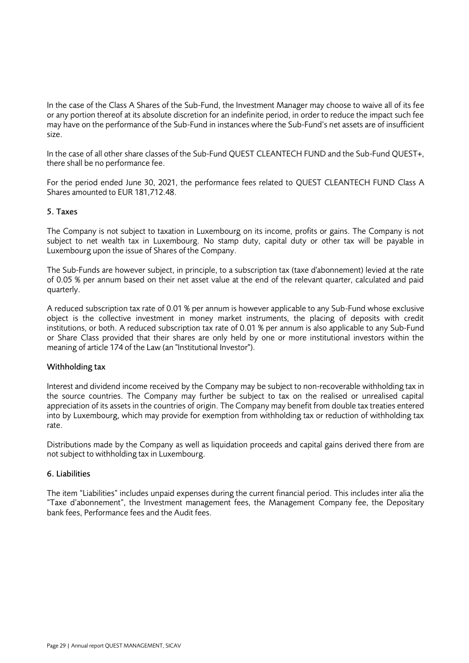In the case of the Class A Shares of the Sub-Fund, the Investment Manager may choose to waive all of its fee or any portion thereof at its absolute discretion for an indefinite period, in order to reduce the impact such fee may have on the performance of the Sub-Fund in instances where the Sub-Fund's net assets are of insufficient size.

In the case of all other share classes of the Sub-Fund QUEST CLEANTECH FUND and the Sub-Fund QUEST+, there shall be no performance fee.

For the period ended June 30, 2021, the performance fees related to QUEST CLEANTECH FUND Class A Shares amounted to EUR 181,712.48.

### 5. Taxes

The Company is not subject to taxation in Luxembourg on its income, profits or gains. The Company is not subject to net wealth tax in Luxembourg. No stamp duty, capital duty or other tax will be payable in Luxembourg upon the issue of Shares of the Company.

The Sub-Funds are however subject, in principle, to a subscription tax (taxe d'abonnement) levied at the rate of 0.05 % per annum based on their net asset value at the end of the relevant quarter, calculated and paid quarterly.

A reduced subscription tax rate of 0.01 % per annum is however applicable to any Sub-Fund whose exclusive object is the collective investment in money market instruments, the placing of deposits with credit institutions, or both. A reduced subscription tax rate of 0.01 % per annum is also applicable to any Sub-Fund or Share Class provided that their shares are only held by one or more institutional investors within the meaning of article 174 of the Law (an "Institutional Investor").

#### Withholding tax

Interest and dividend income received by the Company may be subject to non-recoverable withholding tax in the source countries. The Company may further be subject to tax on the realised or unrealised capital appreciation of its assets in the countries of origin. The Company may benefit from double tax treaties entered into by Luxembourg, which may provide for exemption from withholding tax or reduction of withholding tax rate.

Distributions made by the Company as well as liquidation proceeds and capital gains derived there from are not subject to withholding tax in Luxembourg.

## 6. Liabilities

The item "Liabilities" includes unpaid expenses during the current financial period. This includes inter alia the "Taxe d'abonnement", the Investment management fees, the Management Company fee, the Depositary bank fees, Performance fees and the Audit fees.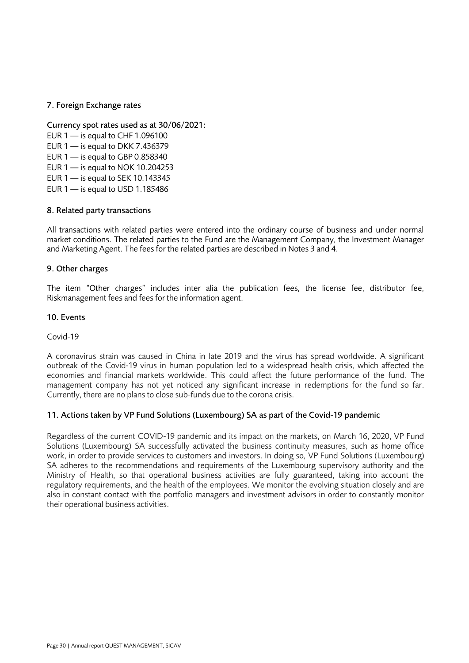### 7. Foreign Exchange rates

Currency spot rates used as at 30/06/2021:

EUR  $1 -$  is equal to CHF 1.096100 EUR  $1 -$  is equal to DKK 7.436379 EUR  $1 -$  is equal to GBP 0.858340 EUR 1 — is equal to NOK 10.204253 EUR 1 — is equal to SEK 10.143345

EUR  $1 -$  is equal to USD 1.185486

### 8. Related party transactions

All transactions with related parties were entered into the ordinary course of business and under normal market conditions. The related parties to the Fund are the Management Company, the Investment Manager and Marketing Agent. The fees for the related parties are described in Notes 3 and 4.

#### 9. Other charges

The item "Other charges" includes inter alia the publication fees, the license fee, distributor fee, Riskmanagement fees and fees for the information agent.

#### 10. Events

#### Covid-19

A coronavirus strain was caused in China in late 2019 and the virus has spread worldwide. A significant outbreak of the Covid-19 virus in human population led to a widespread health crisis, which affected the economies and financial markets worldwide. This could affect the future performance of the fund. The management company has not yet noticed any significant increase in redemptions for the fund so far. Currently, there are no plans to close sub-funds due to the corona crisis.

#### 11. Actions taken by VP Fund Solutions (Luxembourg) SA as part of the Covid-19 pandemic

Regardless of the current COVID-19 pandemic and its impact on the markets, on March 16, 2020, VP Fund Solutions (Luxembourg) SA successfully activated the business continuity measures, such as home office work, in order to provide services to customers and investors. In doing so, VP Fund Solutions (Luxembourg) SA adheres to the recommendations and requirements of the Luxembourg supervisory authority and the Ministry of Health, so that operational business activities are fully guaranteed, taking into account the regulatory requirements, and the health of the employees. We monitor the evolving situation closely and are also in constant contact with the portfolio managers and investment advisors in order to constantly monitor their operational business activities.